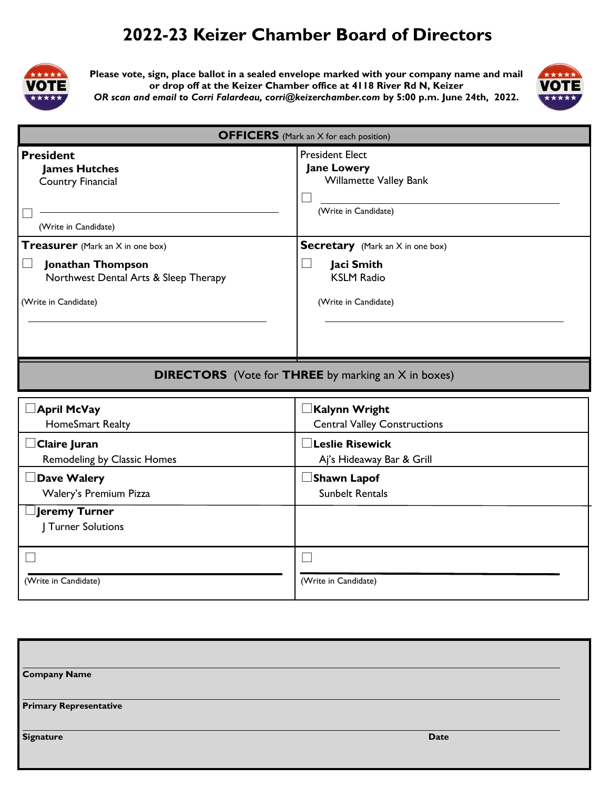## **2022-23 Keizer Chamber Board of Directors**



**Please vote, sign, place ballot in a sealed envelope marked with your company name and mail or drop off at the Keizer Chamber office at 4118 River Rd N, Keizer**  *OR scan and email to Corri Falardeau, corri@keizerchamber.com* **by 5:00 p.m. June 24th, 2022.** 



| <b>OFFICERS</b> (Mark an X for each position)                                                |                                                                                                       |
|----------------------------------------------------------------------------------------------|-------------------------------------------------------------------------------------------------------|
| <b>President</b><br><b>James Hutches</b><br><b>Country Financial</b><br>(Write in Candidate) | <b>President Elect</b><br><b>Jane Lowery</b><br><b>Willamette Valley Bank</b><br>(Write in Candidate) |
| <b>Treasurer</b> (Mark an X in one box)                                                      | <b>Secretary</b> (Mark an X in one box)                                                               |
| Jonathan Thompson<br>Northwest Dental Arts & Sleep Therapy                                   | Jaci Smith<br><b>KSLM Radio</b>                                                                       |
| (Write in Candidate)                                                                         | (Write in Candidate)                                                                                  |
|                                                                                              | <b>DIRECTORS</b> (Vote for <b>THREE</b> by marking an X in boxes)                                     |
| April McVay<br>HomeSmart Realty                                                              | Kalynn Wright<br><b>Central Valley Constructions</b>                                                  |
| <b>Claire Juran</b><br><b>Remodeling by Classic Homes</b>                                    | $\exists$ Leslie Risewick<br>Aj's Hideaway Bar & Grill                                                |
| Dave Walery                                                                                  | $\square$ Shawn Lapof                                                                                 |
| Walery's Premium Pizza                                                                       | <b>Sunbelt Rentals</b>                                                                                |
| <b>Jeremy Turner</b><br><b>J</b> Turner Solutions                                            |                                                                                                       |
|                                                                                              |                                                                                                       |
|                                                                                              |                                                                                                       |

| <b>Company Name</b>           |             |
|-------------------------------|-------------|
| <b>Primary Representative</b> |             |
| <b>Signature</b>              | <b>Date</b> |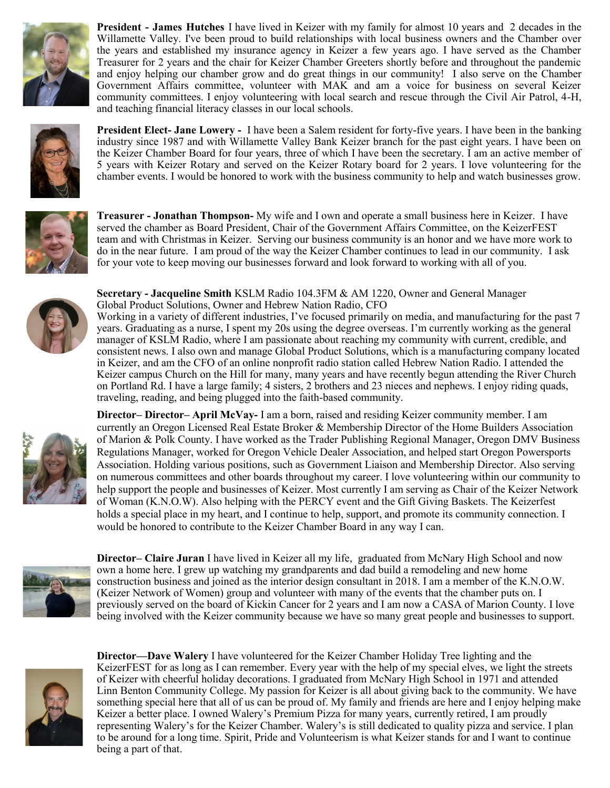

**President - James Hutches** I have lived in Keizer with my family for almost 10 years and 2 decades in the Willamette Valley. I've been proud to build relationships with local business owners and the Chamber over the years and established my insurance agency in Keizer a few years ago. I have served as the Chamber Treasurer for 2 years and the chair for Keizer Chamber Greeters shortly before and throughout the pandemic and enjoy helping our chamber grow and do great things in our community! I also serve on the Chamber Government Affairs committee, volunteer with MAK and am a voice for business on several Keizer community committees. I enjoy volunteering with local search and rescue through the Civil Air Patrol, 4-H, and teaching financial literacy classes in our local schools.



**President Elect- Jane Lowery -** I have been a Salem resident for forty-five years. I have been in the banking industry since 1987 and with Willamette Valley Bank Keizer branch for the past eight years. I have been on the Keizer Chamber Board for four years, three of which I have been the secretary. I am an active member of 5 years with Keizer Rotary and served on the Keizer Rotary board for 2 years. I love volunteering for the chamber events. I would be honored to work with the business community to help and watch businesses grow.



**Treasurer - Jonathan Thompson-** My wife and I own and operate a small business here in Keizer. I have served the chamber as Board President, Chair of the Government Affairs Committee, on the KeizerFEST team and with Christmas in Keizer. Serving our business community is an honor and we have more work to do in the near future. I am proud of the way the Keizer Chamber continues to lead in our community. I ask for your vote to keep moving our businesses forward and look forward to working with all of you.



**Secretary - Jacqueline Smith** KSLM Radio 104.3FM & AM 1220, Owner and General Manager Global Product Solutions, Owner and Hebrew Nation Radio, CFO

Working in a variety of different industries, I've focused primarily on media, and manufacturing for the past 7 years. Graduating as a nurse, I spent my 20s using the degree overseas. I'm currently working as the general manager of KSLM Radio, where I am passionate about reaching my community with current, credible, and consistent news. I also own and manage Global Product Solutions, which is a manufacturing company located in Keizer, and am the CFO of an online nonprofit radio station called Hebrew Nation Radio. I attended the Keizer campus Church on the Hill for many, many years and have recently begun attending the River Church on Portland Rd. I have a large family; 4 sisters, 2 brothers and 23 nieces and nephews. I enjoy riding quads, traveling, reading, and being plugged into the faith-based community.



**Director– Director– April McVay-** I am a born, raised and residing Keizer community member. I am currently an Oregon Licensed Real Estate Broker & Membership Director of the Home Builders Association of Marion & Polk County. I have worked as the Trader Publishing Regional Manager, Oregon DMV Business Regulations Manager, worked for Oregon Vehicle Dealer Association, and helped start Oregon Powersports Association. Holding various positions, such as Government Liaison and Membership Director. Also serving on numerous committees and other boards throughout my career. I love volunteering within our community to help support the people and businesses of Keizer. Most currently I am serving as Chair of the Keizer Network of Woman (K.N.O.W). Also helping with the PERCY event and the Gift Giving Baskets. The Keizerfest holds a special place in my heart, and I continue to help, support, and promote its community connection. I would be honored to contribute to the Keizer Chamber Board in any way I can.



**Director– Claire Juran** I have lived in Keizer all my life, graduated from McNary High School and now own a home here. I grew up watching my grandparents and dad build a remodeling and new home construction business and joined as the interior design consultant in 2018. I am a member of the K.N.O.W. (Keizer Network of Women) group and volunteer with many of the events that the chamber puts on. I previously served on the board of Kickin Cancer for 2 years and I am now a CASA of Marion County. I love being involved with the Keizer community because we have so many great people and businesses to support.



**Director—Dave Walery** I have volunteered for the Keizer Chamber Holiday Tree lighting and the KeizerFEST for as long as I can remember. Every year with the help of my special elves, we light the streets of Keizer with cheerful holiday decorations. I graduated from McNary High School in 1971 and attended Linn Benton Community College. My passion for Keizer is all about giving back to the community. We have something special here that all of us can be proud of. My family and friends are here and I enjoy helping make Keizer a better place. I owned Walery's Premium Pizza for many years, currently retired, I am proudly representing Walery's for the Keizer Chamber. Walery's is still dedicated to quality pizza and service. I plan to be around for a long time. Spirit, Pride and Volunteerism is what Keizer stands for and I want to continue being a part of that.